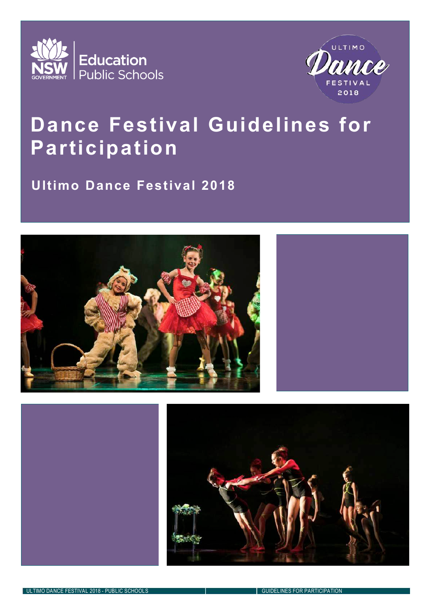



### **Dance Festival Guidelines for Participation**

### **Ultimo Dance Festival 2018**





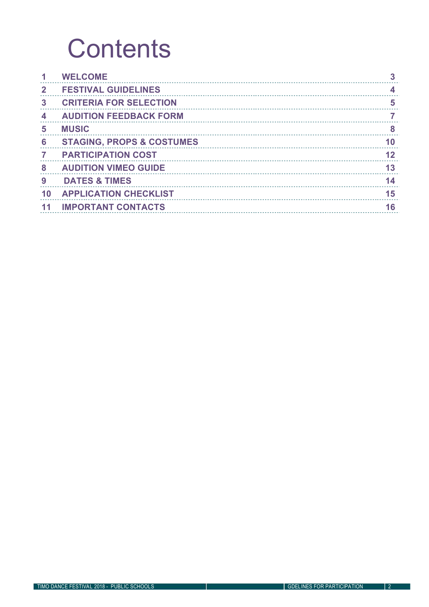### **Contents**

|                | <b>WELCOME</b>                       |  |
|----------------|--------------------------------------|--|
|                | <b>FESTIVAL GUIDELINES</b>           |  |
| 3              | <b>CRITERIA FOR SELECTION</b>        |  |
|                | <b>AUDITION FEEDBACK FORM</b>        |  |
|                | <b>MUSIC</b>                         |  |
| 6              | <b>STAGING, PROPS &amp; COSTUMES</b> |  |
| $\overline{7}$ | <b>PARTICIPATION COST</b>            |  |
| 8              | <b>AUDITION VIMEO GUIDE</b>          |  |
| 9              | <b>DATES &amp; TIMES</b>             |  |
|                | <b>APPLICATION CHECKLIST</b>         |  |
|                | <b>IMPORTANT CONTACTS</b>            |  |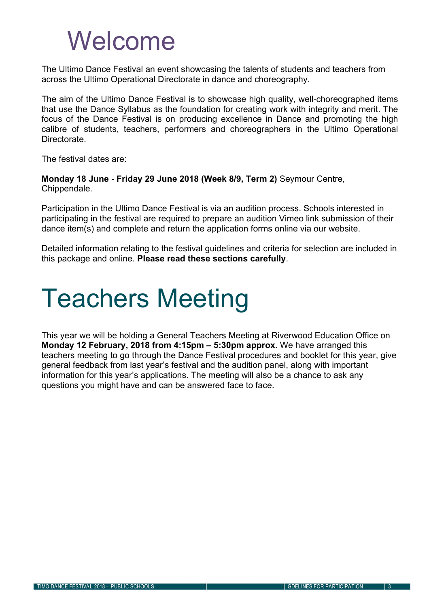### Welcome

The Ultimo Dance Festival an event showcasing the talents of students and teachers from across the Ultimo Operational Directorate in dance and choreography.

The aim of the Ultimo Dance Festival is to showcase high quality, well-choreographed items that use the Dance Syllabus as the foundation for creating work with integrity and merit. The focus of the Dance Festival is on producing excellence in Dance and promoting the high calibre of students, teachers, performers and choreographers in the Ultimo Operational Directorate.

The festival dates are:

**Monday 18 June - Friday 29 June 2018 (Week 8/9, Term 2)** Seymour Centre, Chippendale.

Participation in the Ultimo Dance Festival is via an audition process. Schools interested in participating in the festival are required to prepare an audition Vimeo link submission of their dance item(s) and complete and return the application forms online via our website.

Detailed information relating to the festival guidelines and criteria for selection are included in this package and online. **Please read these sections carefully**.

## Teachers Meeting

This year we will be holding a General Teachers Meeting at Riverwood Education Office on **Monday 12 February, 2018 from 4:15pm – 5:30pm approx.** We have arranged this teachers meeting to go through the Dance Festival procedures and booklet for this year, give general feedback from last year's festival and the audition panel, along with important information for this year's applications. The meeting will also be a chance to ask any questions you might have and can be answered face to face.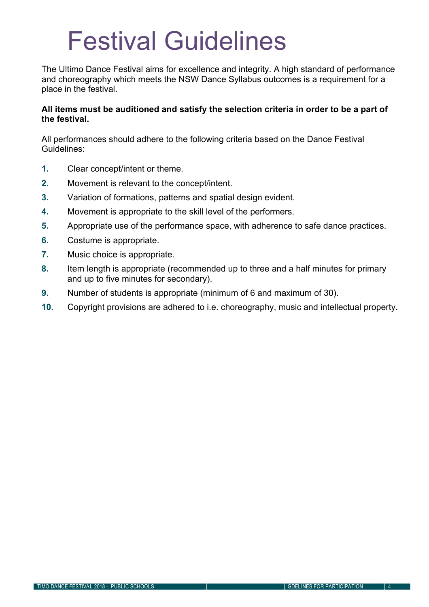### Festival Guidelines

The Ultimo Dance Festival aims for excellence and integrity. A high standard of performance and choreography which meets the NSW Dance Syllabus outcomes is a requirement for a place in the festival.

#### **All items must be auditioned and satisfy the selection criteria in order to be a part of the festival.**

All performances should adhere to the following criteria based on the Dance Festival Guidelines:

- **1.** Clear concept/intent or theme.
- **2.** Movement is relevant to the concept/intent.
- **3.** Variation of formations, patterns and spatial design evident.
- **4.** Movement is appropriate to the skill level of the performers.
- **5.** Appropriate use of the performance space, with adherence to safe dance practices.
- **6.** Costume is appropriate.
- **7.** Music choice is appropriate.
- **8.** Item length is appropriate (recommended up to three and a half minutes for primary and up to five minutes for secondary).
- **9.** Number of students is appropriate (minimum of 6 and maximum of 30).
- **10.** Copyright provisions are adhered to i.e. choreography, music and intellectual property.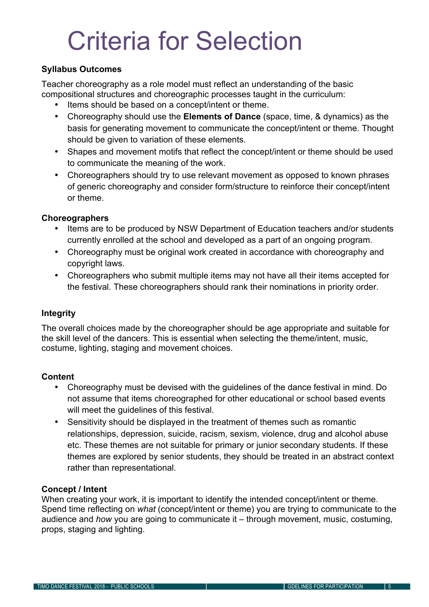## Criteria for Selection

#### **Syllabus Outcomes**

Teacher choreography as a role model must reflect an understanding of the basic compositional structures and choreographic processes taught in the curriculum:

- Items should be based on a concept/intent or theme.
- Choreography should use the **Elements of Dance** (space, time, & dynamics) as the basis for generating movement to communicate the concept/intent or theme. Thought should be given to variation of these elements.
- Shapes and movement motifs that reflect the concept/intent or theme should be used to communicate the meaning of the work.
- Choreographers should try to use relevant movement as opposed to known phrases of generic choreography and consider form/structure to reinforce their concept/intent or theme.

#### **Choreographers**

- Items are to be produced by NSW Department of Education teachers and/or students currently enrolled at the school and developed as a part of an ongoing program.
- Choreography must be original work created in accordance with choreography and copyright laws.
- Choreographers who submit multiple items may not have all their items accepted for the festival. These choreographers should rank their nominations in priority order.

#### **Integrity**

The overall choices made by the choreographer should be age appropriate and suitable for the skill level of the dancers. This is essential when selecting the theme/intent, music, costume, lighting, staging and movement choices.

#### **Content**

- Choreography must be devised with the guidelines of the dance festival in mind. Do not assume that items choreographed for other educational or school based events will meet the quidelines of this festival.
- Sensitivity should be displayed in the treatment of themes such as romantic relationships, depression, suicide, racism, sexism, violence, drug and alcohol abuse etc. These themes are not suitable for primary or junior secondary students. If these themes are explored by senior students, they should be treated in an abstract context rather than representational.

#### **Concept / Intent**

When creating your work, it is important to identify the intended concept/intent or theme. Spend time reflecting on *what* (concept/intent or theme) you are trying to communicate to the audience and *how* you are going to communicate it – through movement, music, costuming, props, staging and lighting.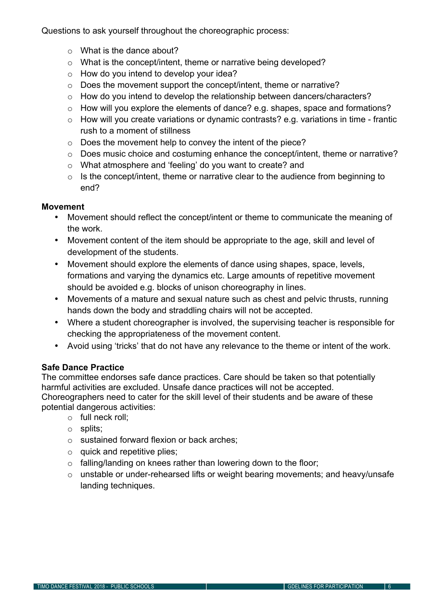Questions to ask yourself throughout the choreographic process:

- o What is the dance about?
- o What is the concept/intent, theme or narrative being developed?
- o How do you intend to develop your idea?
- o Does the movement support the concept/intent, theme or narrative?
- o How do you intend to develop the relationship between dancers/characters?
- o How will you explore the elements of dance? e.g. shapes, space and formations?
- o How will you create variations or dynamic contrasts? e.g. variations in time frantic rush to a moment of stillness
- o Does the movement help to convey the intent of the piece?
- o Does music choice and costuming enhance the concept/intent, theme or narrative?
- o What atmosphere and 'feeling' do you want to create? and
- o Is the concept/intent, theme or narrative clear to the audience from beginning to end?

#### **Movement**

- Movement should reflect the concept/intent or theme to communicate the meaning of the work.
- Movement content of the item should be appropriate to the age, skill and level of development of the students.
- Movement should explore the elements of dance using shapes, space, levels, formations and varying the dynamics etc. Large amounts of repetitive movement should be avoided e.g. blocks of unison choreography in lines.
- Movements of a mature and sexual nature such as chest and pelvic thrusts, running hands down the body and straddling chairs will not be accepted.
- Where a student choreographer is involved, the supervising teacher is responsible for checking the appropriateness of the movement content.
- Avoid using 'tricks' that do not have any relevance to the theme or intent of the work.

#### **Safe Dance Practice**

The committee endorses safe dance practices. Care should be taken so that potentially harmful activities are excluded. Unsafe dance practices will not be accepted. Choreographers need to cater for the skill level of their students and be aware of these potential dangerous activities:

- o full neck roll;
- o splits;
- o sustained forward flexion or back arches;
- o quick and repetitive plies;
- o falling/landing on knees rather than lowering down to the floor;
- o unstable or under-rehearsed lifts or weight bearing movements; and heavy/unsafe landing techniques.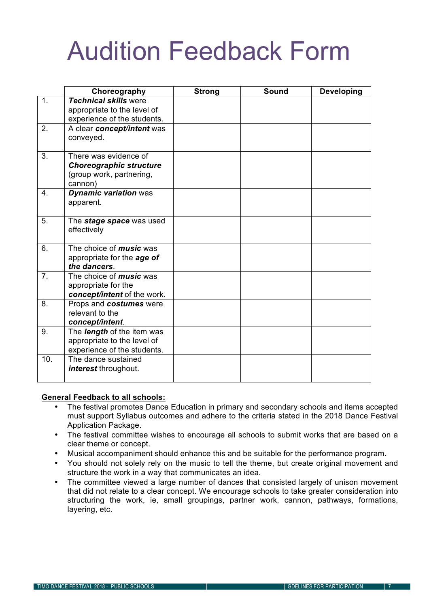### Audition Feedback Form

|                  | Choreography                               | <b>Strong</b> | Sound | <b>Developing</b> |
|------------------|--------------------------------------------|---------------|-------|-------------------|
| 1.               | <b>Technical skills were</b>               |               |       |                   |
|                  | appropriate to the level of                |               |       |                   |
|                  | experience of the students.                |               |       |                   |
| 2.               | A clear concept/intent was                 |               |       |                   |
|                  | conveyed.                                  |               |       |                   |
|                  |                                            |               |       |                   |
| $\overline{3}$ . | There was evidence of                      |               |       |                   |
|                  | <b>Choreographic structure</b>             |               |       |                   |
|                  | (group work, partnering,                   |               |       |                   |
|                  | cannon)                                    |               |       |                   |
| 4.               | <b>Dynamic variation was</b>               |               |       |                   |
|                  | apparent.                                  |               |       |                   |
|                  |                                            |               |       |                   |
| 5.               | The stage space was used                   |               |       |                   |
|                  | effectively                                |               |       |                   |
|                  |                                            |               |       |                   |
| 6.               | The choice of <i>music</i> was             |               |       |                   |
|                  | appropriate for the age of<br>the dancers. |               |       |                   |
| 7 <sub>1</sub>   | The choice of <i>music</i> was             |               |       |                   |
|                  | appropriate for the                        |               |       |                   |
|                  | concept/intent of the work.                |               |       |                   |
| 8.               | Props and costumes were                    |               |       |                   |
|                  | relevant to the                            |               |       |                   |
|                  | concept/intent.                            |               |       |                   |
| 9.               | The <i>length</i> of the item was          |               |       |                   |
|                  | appropriate to the level of                |               |       |                   |
|                  | experience of the students.                |               |       |                   |
| 10.              | The dance sustained                        |               |       |                   |
|                  | interest throughout.                       |               |       |                   |
|                  |                                            |               |       |                   |

#### **General Feedback to all schools:**

- The festival promotes Dance Education in primary and secondary schools and items accepted must support Syllabus outcomes and adhere to the criteria stated in the 2018 Dance Festival Application Package.
- The festival committee wishes to encourage all schools to submit works that are based on a clear theme or concept.
- Musical accompaniment should enhance this and be suitable for the performance program.
- You should not solely rely on the music to tell the theme, but create original movement and structure the work in a way that communicates an idea.
- The committee viewed a large number of dances that consisted largely of unison movement that did not relate to a clear concept. We encourage schools to take greater consideration into structuring the work, ie, small groupings, partner work, cannon, pathways, formations, layering, etc.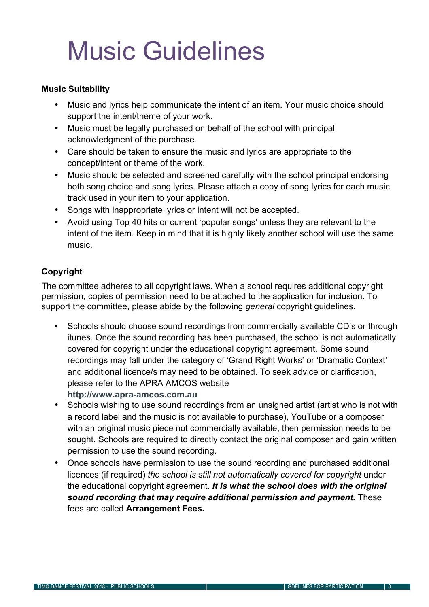## Music Guidelines

#### **Music Suitability**

- Music and lyrics help communicate the intent of an item. Your music choice should support the intent/theme of your work.
- Music must be legally purchased on behalf of the school with principal acknowledgment of the purchase.
- Care should be taken to ensure the music and lyrics are appropriate to the concept/intent or theme of the work.
- Music should be selected and screened carefully with the school principal endorsing both song choice and song lyrics. Please attach a copy of song lyrics for each music track used in your item to your application.
- Songs with inappropriate lyrics or intent will not be accepted.
- Avoid using Top 40 hits or current 'popular songs' unless they are relevant to the intent of the item. Keep in mind that it is highly likely another school will use the same music.

#### **Copyright**

The committee adheres to all copyright laws. When a school requires additional copyright permission, copies of permission need to be attached to the application for inclusion. To support the committee, please abide by the following *general* copyright guidelines.

- Schools should choose sound recordings from commercially available CD's or through itunes. Once the sound recording has been purchased, the school is not automatically covered for copyright under the educational copyright agreement. Some sound recordings may fall under the category of 'Grand Right Works' or 'Dramatic Context' and additional licence/s may need to be obtained. To seek advice or clarification, please refer to the APRA AMCOS website
	- **http://www.apra-amcos.com.au**
- Schools wishing to use sound recordings from an unsigned artist (artist who is not with a record label and the music is not available to purchase), YouTube or a composer with an original music piece not commercially available, then permission needs to be sought. Schools are required to directly contact the original composer and gain written permission to use the sound recording.
- Once schools have permission to use the sound recording and purchased additional licences (if required) *the school is still not automatically covered for copyright* under the educational copyright agreement. *It is what the school does with the original sound recording that may require additional permission and payment.* These fees are called **Arrangement Fees.**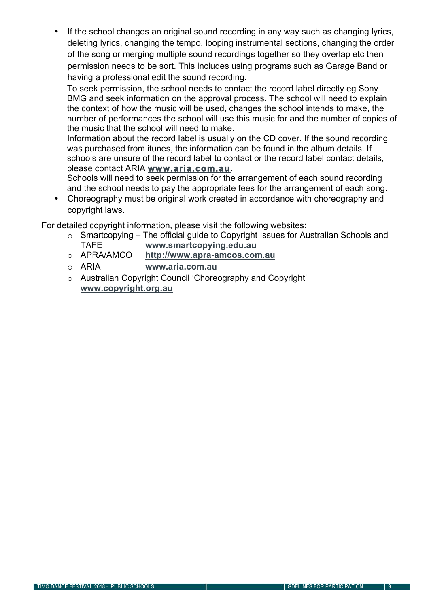If the school changes an original sound recording in any way such as changing lyrics, deleting lyrics, changing the tempo, looping instrumental sections, changing the order of the song or merging multiple sound recordings together so they overlap etc then permission needs to be sort. This includes using programs such as Garage Band or having a professional edit the sound recording.

To seek permission, the school needs to contact the record label directly eg Sony BMG and seek information on the approval process. The school will need to explain the context of how the music will be used, changes the school intends to make, the number of performances the school will use this music for and the number of copies of the music that the school will need to make.

Information about the record label is usually on the CD cover. If the sound recording was purchased from itunes, the information can be found in the album details. If schools are unsure of the record label to contact or the record label contact details, please contact ARIA **www.aria.com.au**.

Schools will need to seek permission for the arrangement of each sound recording and the school needs to pay the appropriate fees for the arrangement of each song.

• Choreography must be original work created in accordance with choreography and copyright laws.

For detailed copyright information, please visit the following websites:

- o Smartcopying The official guide to Copyright Issues for Australian Schools and TAFE **www.smartcopying.edu.au**
- o APRA/AMCO **http://www.apra-amcos.com.au**
- o ARIA **www.aria.com.au**
- o Australian Copyright Council 'Choreography and Copyright' **www.copyright.org.au**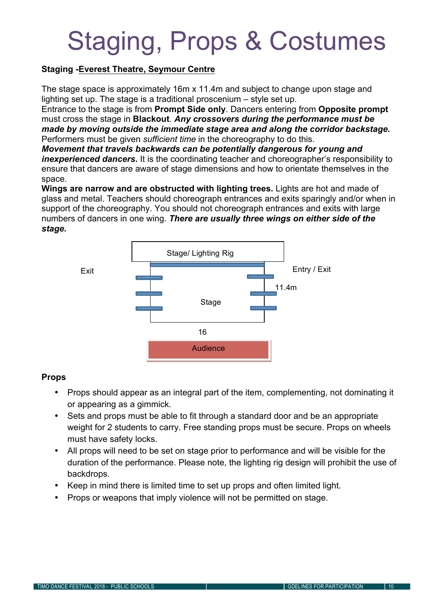## Staging, Props & Costumes

#### **Staging -Everest Theatre, Seymour Centre**

The stage space is approximately 16m x 11.4m and subject to change upon stage and lighting set up. The stage is a traditional proscenium – style set up.

Entrance to the stage is from **Prompt Side only**. Dancers entering from **Opposite prompt**  must cross the stage in **Blackout**. *Any crossovers during the performance must be made by moving outside the immediate stage area and along the corridor backstage***.** Performers must be given *sufficient time* in the choreography to do this.

*Movement that travels backwards can be potentially dangerous for young and inexperienced dancers***.** It is the coordinating teacher and choreographer's responsibility to ensure that dancers are aware of stage dimensions and how to orientate themselves in the space.

**Wings are narrow and are obstructed with lighting trees.** Lights are hot and made of glass and metal. Teachers should choreograph entrances and exits sparingly and/or when in support of the choreography. You should not choreograph entrances and exits with large numbers of dancers in one wing. *There are usually three wings on either side of the stage.*



#### **Props**

- Props should appear as an integral part of the item, complementing, not dominating it or appearing as a gimmick.
- Sets and props must be able to fit through a standard door and be an appropriate weight for 2 students to carry. Free standing props must be secure. Props on wheels must have safety locks.
- All props will need to be set on stage prior to performance and will be visible for the duration of the performance. Please note, the lighting rig design will prohibit the use of backdrops.
- Keep in mind there is limited time to set up props and often limited light.
- Props or weapons that imply violence will not be permitted on stage.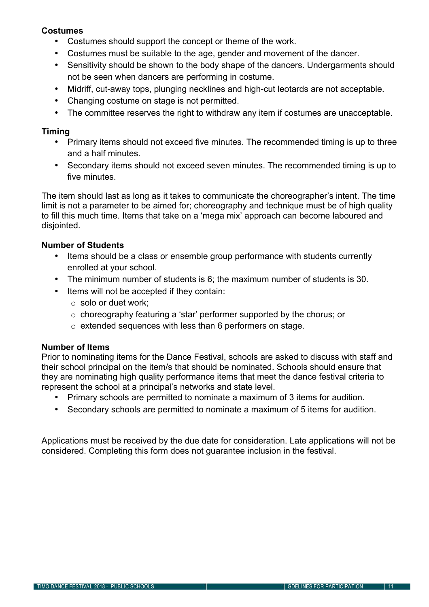#### **Costumes**

- Costumes should support the concept or theme of the work.
- Costumes must be suitable to the age, gender and movement of the dancer.
- Sensitivity should be shown to the body shape of the dancers. Undergarments should not be seen when dancers are performing in costume.
- Midriff, cut-away tops, plunging necklines and high-cut leotards are not acceptable.
- Changing costume on stage is not permitted.
- The committee reserves the right to withdraw any item if costumes are unacceptable.

#### **Timing**

- Primary items should not exceed five minutes. The recommended timing is up to three and a half minutes.
- Secondary items should not exceed seven minutes. The recommended timing is up to five minutes.

The item should last as long as it takes to communicate the choreographer's intent. The time limit is not a parameter to be aimed for; choreography and technique must be of high quality to fill this much time. Items that take on a 'mega mix' approach can become laboured and disjointed.

#### **Number of Students**

- Items should be a class or ensemble group performance with students currently enrolled at your school.
- The minimum number of students is 6; the maximum number of students is 30.
- Items will not be accepted if they contain:
	- o solo or duet work;
	- o choreography featuring a 'star' performer supported by the chorus; or
	- o extended sequences with less than 6 performers on stage.

#### **Number of Items**

Prior to nominating items for the Dance Festival, schools are asked to discuss with staff and their school principal on the item/s that should be nominated. Schools should ensure that they are nominating high quality performance items that meet the dance festival criteria to represent the school at a principal's networks and state level.

- Primary schools are permitted to nominate a maximum of 3 items for audition.
- Secondary schools are permitted to nominate a maximum of 5 items for audition.

Applications must be received by the due date for consideration. Late applications will not be considered. Completing this form does not guarantee inclusion in the festival.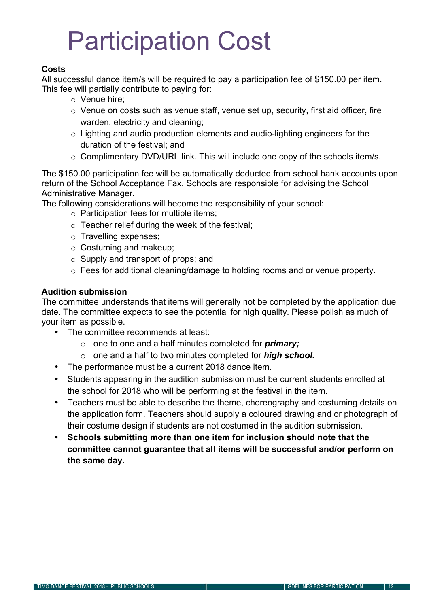# Participation Cost

#### **Costs**

All successful dance item/s will be required to pay a participation fee of \$150.00 per item. This fee will partially contribute to paying for:

- o Venue hire;
- o Venue on costs such as venue staff, venue set up, security, first aid officer, fire warden, electricity and cleaning;
- o Lighting and audio production elements and audio-lighting engineers for the duration of the festival; and
- o Complimentary DVD/URL link. This will include one copy of the schools item/s.

The \$150.00 participation fee will be automatically deducted from school bank accounts upon return of the School Acceptance Fax. Schools are responsible for advising the School Administrative Manager.

The following considerations will become the responsibility of your school:

- $\circ$  Participation fees for multiple items:
- $\circ$  Teacher relief during the week of the festival;
- o Travelling expenses;
- o Costuming and makeup;
- o Supply and transport of props; and
- o Fees for additional cleaning/damage to holding rooms and or venue property.

#### **Audition submission**

The committee understands that items will generally not be completed by the application due date. The committee expects to see the potential for high quality. Please polish as much of your item as possible.

- The committee recommends at least:
	- o one to one and a half minutes completed for *primary;*
	- o one and a half to two minutes completed for *high school.*
- The performance must be a current 2018 dance item.
- Students appearing in the audition submission must be current students enrolled at the school for 2018 who will be performing at the festival in the item.
- Teachers must be able to describe the theme, choreography and costuming details on the application form. Teachers should supply a coloured drawing and or photograph of their costume design if students are not costumed in the audition submission.
- **Schools submitting more than one item for inclusion should note that the committee cannot guarantee that all items will be successful and/or perform on the same day.**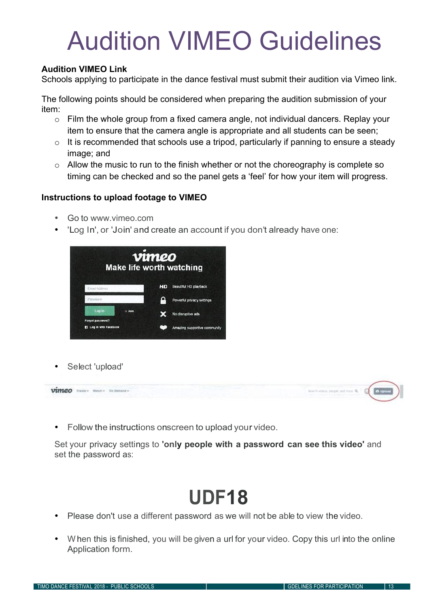# Audition VIMEO Guidelines

#### **Audition VIMEO Link**

Schools applying to participate in the dance festival must submit their audition via Vimeo link.

The following points should be considered when preparing the audition submission of your item:

- o Film the whole group from a fixed camera angle, not individual dancers. Replay your item to ensure that the camera angle is appropriate and all students can be seen;
- $\circ$  It is recommended that schools use a tripod, particularly if panning to ensure a steady image; and
- o Allow the music to run to the finish whether or not the choreography is complete so timing can be checked and so the panel gets a 'feel' for how your item will progress.

#### **Instructions to upload footage to VIMEO**

- Go to www.vimeo.com
- 'Log In', or 'Join' and create an account if you don't already have one:



Select 'upload'



• Follow the instructions onscreen to upload your video.

Set your privacy settings to **'only people with a password can see this video'** and set the password as:

### **UDF18**

- Please don't use a different password as we will not be able to view the video.
- When this is finished, you will be given a url for your video. Copy this url into the online Application form.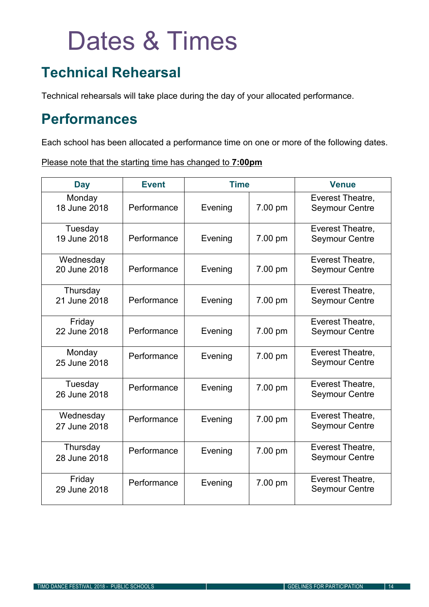# Dates & Times

### **Technical Rehearsal**

Technical rehearsals will take place during the day of your allocated performance.

### **Performances**

Each school has been allocated a performance time on one or more of the following dates.

Please note that the starting time has changed to **7:00pm**

| <b>Day</b>                | <b>Event</b><br><b>Time</b> |         | <b>Venue</b> |                                           |
|---------------------------|-----------------------------|---------|--------------|-------------------------------------------|
| Monday<br>18 June 2018    | Performance                 | Evening | 7.00 pm      | Everest Theatre,<br><b>Seymour Centre</b> |
| Tuesday<br>19 June 2018   | Performance                 | Evening | 7.00 pm      | Everest Theatre,<br><b>Seymour Centre</b> |
| Wednesday<br>20 June 2018 | Performance                 | Evening | 7.00 pm      | Everest Theatre,<br><b>Seymour Centre</b> |
| Thursday<br>21 June 2018  | Performance                 | Evening | 7.00 pm      | Everest Theatre,<br><b>Seymour Centre</b> |
| Friday<br>22 June 2018    | Performance                 | Evening | 7.00 pm      | Everest Theatre,<br><b>Seymour Centre</b> |
| Monday<br>25 June 2018    | Performance                 | Evening | 7.00 pm      | Everest Theatre,<br><b>Seymour Centre</b> |
| Tuesday<br>26 June 2018   | Performance                 | Evening | 7.00 pm      | Everest Theatre,<br><b>Seymour Centre</b> |
| Wednesday<br>27 June 2018 | Performance                 | Evening | 7.00 pm      | Everest Theatre,<br><b>Seymour Centre</b> |
| Thursday<br>28 June 2018  | Performance                 | Evening | 7.00 pm      | Everest Theatre,<br><b>Seymour Centre</b> |
| Friday<br>29 June 2018    | Performance                 | Evening | 7.00 pm      | Everest Theatre,<br><b>Seymour Centre</b> |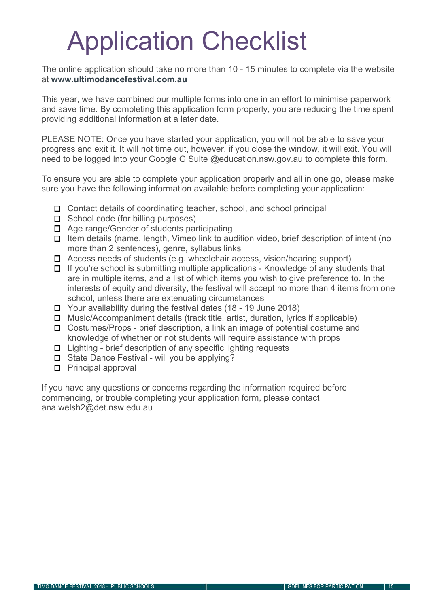# Application Checklist

The online application should take no more than 10 - 15 minutes to complete via the website at **www.ultimodancefestival.com.au**

This year, we have combined our multiple forms into one in an effort to minimise paperwork and save time. By completing this application form properly, you are reducing the time spent providing additional information at a later date.

PLEASE NOTE: Once you have started your application, you will not be able to save your progress and exit it. It will not time out, however, if you close the window, it will exit. You will need to be logged into your Google G Suite @education.nsw.gov.au to complete this form.

To ensure you are able to complete your application properly and all in one go, please make sure you have the following information available before completing your application:

- $\Box$  Contact details of coordinating teacher, school, and school principal
- $\Box$  School code (for billing purposes)
- $\Box$  Age range/Gender of students participating
- $\Box$  Item details (name, length, Vimeo link to audition video, brief description of intent (no more than 2 sentences), genre, syllabus links
- □ Access needs of students (e.g. wheelchair access, vision/hearing support)
- $\Box$  If you're school is submitting multiple applications Knowledge of any students that are in multiple items, and a list of which items you wish to give preference to. In the interests of equity and diversity, the festival will accept no more than 4 items from one school, unless there are extenuating circumstances
- $\Box$  Your availability during the festival dates (18 19 June 2018)
- $\Box$  Music/Accompaniment details (track title, artist, duration, lyrics if applicable)
- □ Costumes/Props brief description, a link an image of potential costume and knowledge of whether or not students will require assistance with props
- $\Box$  Lighting brief description of any specific lighting requests
- $\Box$  State Dance Festival will you be applying?
- $\Box$  Principal approval

If you have any questions or concerns regarding the information required before commencing, or trouble completing your application form, please contact ana.welsh2@det.nsw.edu.au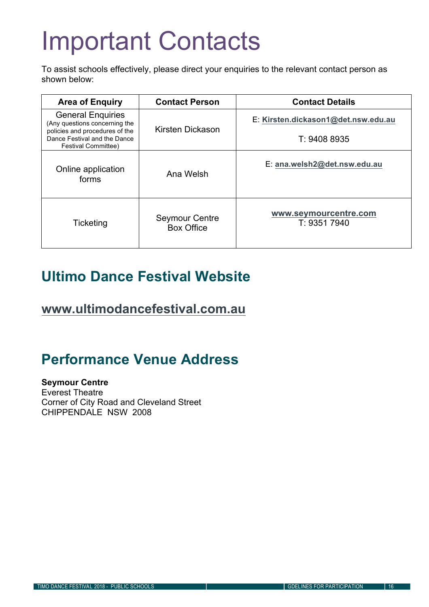# Important Contacts

To assist schools effectively, please direct your enquiries to the relevant contact person as shown below:

| <b>Area of Enquiry</b>                                                                      | <b>Contact Person</b>                      | <b>Contact Details</b>                |
|---------------------------------------------------------------------------------------------|--------------------------------------------|---------------------------------------|
| <b>General Enquiries</b><br>(Any questions concerning the<br>policies and procedures of the | Kirsten Dickason                           | E: Kirsten.dickason1@det.nsw.edu.au   |
| Dance Festival and the Dance<br><b>Festival Committee)</b>                                  |                                            | T: 9408 8935                          |
| Online application<br>forms                                                                 | Ana Welsh                                  | E: ana.welsh2@det.nsw.edu.au          |
| <b>Ticketing</b>                                                                            | <b>Seymour Centre</b><br><b>Box Office</b> | www.seymourcentre.com<br>T: 9351 7940 |

### **Ultimo Dance Festival Website**

**www.ultimodancefestival.com.au**

### **Performance Venue Address**

**Seymour Centre** Everest Theatre Corner of City Road and Cleveland Street CHIPPENDALE NSW 2008